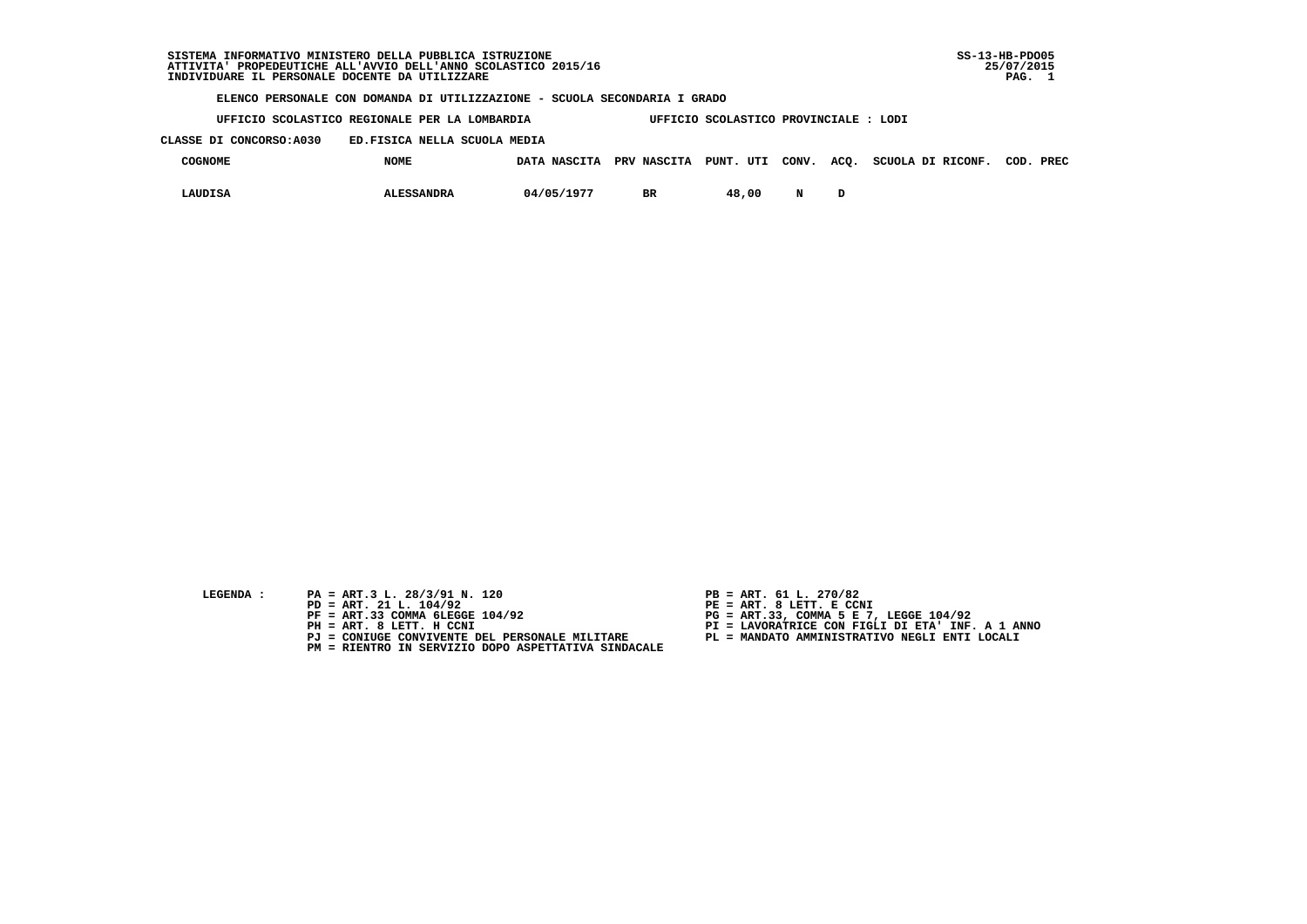## **SISTEMA INFORMATIVO MINISTERO DELLA PUBBLICA ISTRUZIONE SS-13-HB-PDO05 ATTIVITA' PROPEDEUTICHE ALL'AVVIO DELL'ANNO SCOLASTICO 2015/16 25/07/2015**INDIVIDUARE IL PERSONALE DOCENTE DA UTILIZZARE

 **ELENCO PERSONALE CON DOMANDA DI UTILIZZAZIONE - SCUOLA SECONDARIA I GRADO**

 **UFFICIO SCOLASTICO REGIONALE PER LA LOMBARDIA UFFICIO SCOLASTICO PROVINCIALE : LODI**

 **CLASSE DI CONCORSO:A030 ED.FISICA NELLA SCUOLA MEDIA**

| <b>COGNOME</b> | <b>NOME</b>       | DATA NASCITA PRV NASCITA PUNT. UTI CONV. ACQ. |    |       |  | SCUOLA DI RICONF. | COD. PREC |
|----------------|-------------------|-----------------------------------------------|----|-------|--|-------------------|-----------|
| LAUDISA        | <b>ALESSANDRA</b> | 04/05/1977                                    | BR | 48,00 |  |                   |           |

| LEGENDA |  |  |
|---------|--|--|
|         |  |  |
|         |  |  |

- PA = ART.3 L. 28/3/91 N. 120<br>PD = ART. 21 L. 104/92
- 
- 
- 
- 
- **PM = RIENTRO IN SERVIZIO DOPO ASPETTATIVA SINDACALE**
- 
- **PD = ART. 21 L. 104/92 PE = ART. 8 LETT. E CCNI**
- **PF = ART.33 COMMA 6LEGGE 104/92 PG = ART.33, COMMA 5 E 7, LEGGE 104/92**
- **PH = ART. 8 LETT. H CCNI PI = LAVORATRICE CON FIGLI DI ETA' INF. A 1 ANNO**
	- **PJ = CONIUGE CONVIVENTE DEL PERSONALE MILITARE PL = MANDATO AMMINISTRATIVO NEGLI ENTI LOCALI**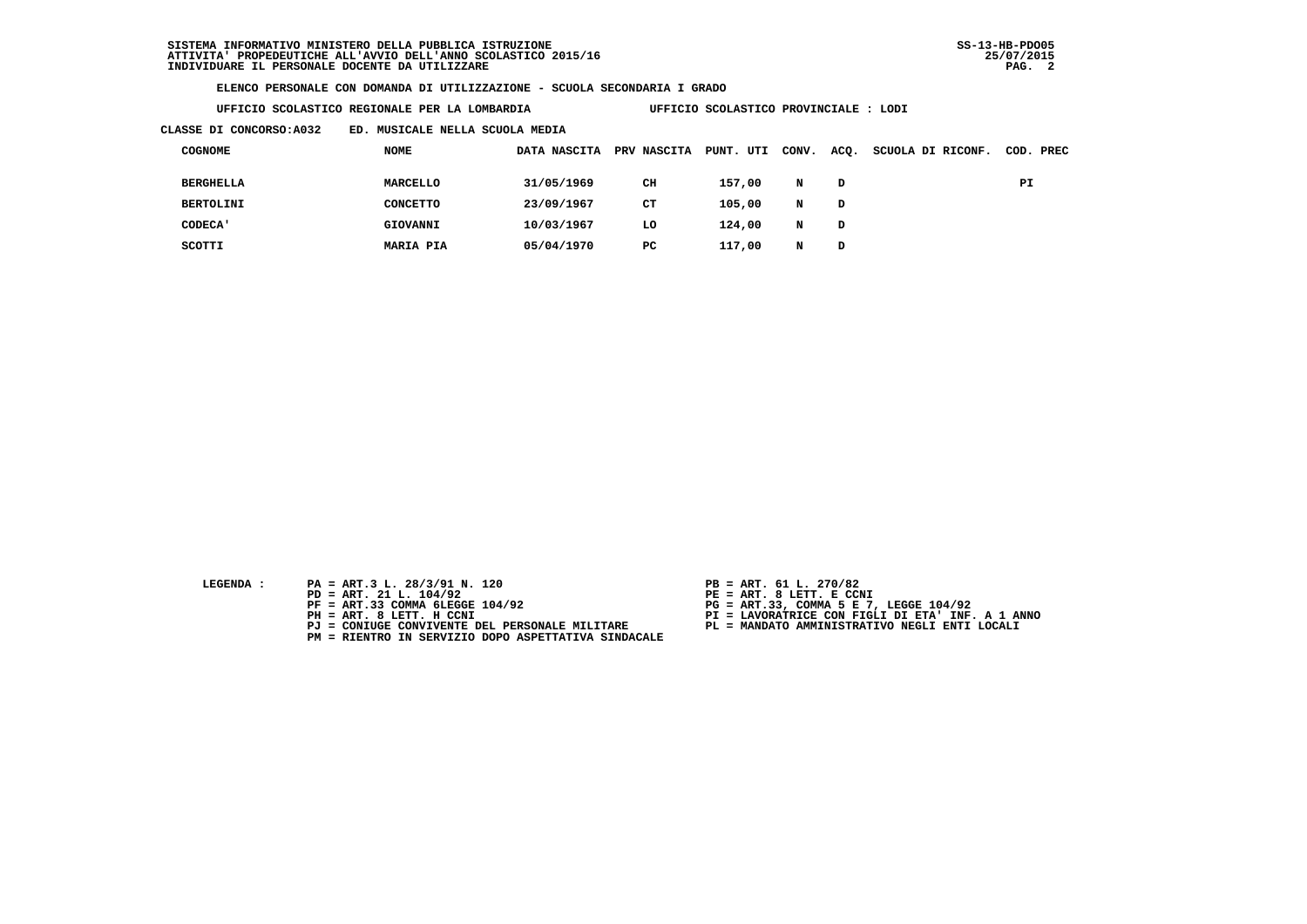**ELENCO PERSONALE CON DOMANDA DI UTILIZZAZIONE - SCUOLA SECONDARIA I GRADO**

| UFFICIO SCOLASTICO REGIONALE PER LA LOMBARDIA |  |  |  |  |  |  |
|-----------------------------------------------|--|--|--|--|--|--|
|-----------------------------------------------|--|--|--|--|--|--|

 **UFFICIO SCOLASTICO PROVINCIALE : LODI** 

 **CLASSE DI CONCORSO:A032 ED. MUSICALE NELLA SCUOLA MEDIA**

| COGNOME          | <b>NOME</b>      | DATA NASCITA | PRV NASCITA | PUNT. UTI | CONV. | ACQ. | SCUOLA DI RICONF. |    | COD. PREC |
|------------------|------------------|--------------|-------------|-----------|-------|------|-------------------|----|-----------|
| <b>BERGHELLA</b> | MARCELLO         | 31/05/1969   | CH          | 157,00    | N     | D    |                   | PI |           |
| <b>BERTOLINI</b> | CONCETTO         | 23/09/1967   | CТ          | 105,00    | N     | D    |                   |    |           |
| <b>CODECA'</b>   | GIOVANNI         | 10/03/1967   | LO          | 124,00    | N     | D    |                   |    |           |
| SCOTTI           | <b>MARIA PIA</b> | 05/04/1970   | PC.         | 117,00    |       | D    |                   |    |           |

- **LEGENDA :** PA = ART.3 L. 28/3/91 N. 120 <br>PD = ART. 21 L. 104/92 <br>PE = ART. 8 LETT. E CCN
- **PD = ART. 21 L. 104/92 PE = ART. 8 LETT. E CCNI**
	-
	-
	-
	- **PM = RIENTRO IN SERVIZIO DOPO ASPETTATIVA SINDACALE**
- 
- 
- 
- **PF = ART.33 COMMA 6LEGGE 104/92 PG = ART.33, COMMA 5 E 7, LEGGE 104/92 PH = ART. 8 LETT. H CCNI PI = LAVORATRICE CON FIGLI DI ETA' INF. A 1 ANNO**
	- **PJ = CONIUGE CONVIVENTE DEL PERSONALE MILITARE PL = MANDATO AMMINISTRATIVO NEGLI ENTI LOCALI**
		-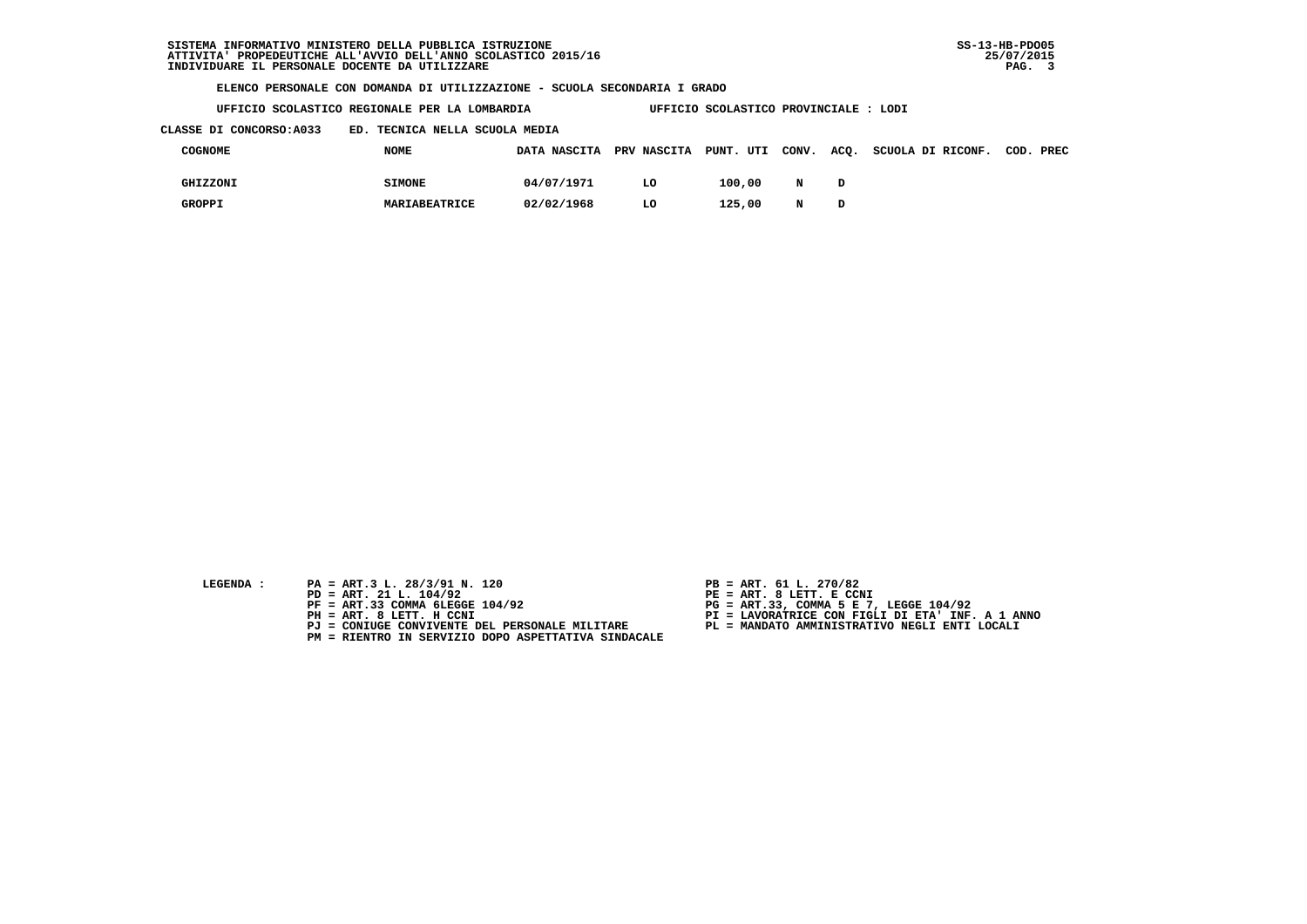**ELENCO PERSONALE CON DOMANDA DI UTILIZZAZIONE - SCUOLA SECONDARIA I GRADO**

 **UFFICIO SCOLASTICO REGIONALE PER LA LOMBARDIA UFFICIO SCOLASTICO PROVINCIALE : LODI**

 **CLASSE DI CONCORSO:A033 ED. TECNICA NELLA SCUOLA MEDIA**

| COGNOME  | <b>NOME</b>   |            |    |        |   | DATA NASCITA PRV NASCITA PUNT. UTI CONV. ACQ. SCUOLA DI RICONF. COD. PREC |  |
|----------|---------------|------------|----|--------|---|---------------------------------------------------------------------------|--|
| GHIZZONI | <b>SIMONE</b> | 04/07/1971 | LO | 100,00 | N |                                                                           |  |
| GROPPI   | MARIABEATRICE | 02/02/1968 | LO | 125,00 | N |                                                                           |  |

- **LEGENDA :** PA = ART.3 L. 28/3/91 N. 120 <br>PD = ART. 21 L. 104/92 <br>PE = ART. 8 LETT. E CCN
- **PD = ART. 21 L. 104/92 PE = ART. 8 LETT. E CCNI**
	-
	-
	-
	- **PM = RIENTRO IN SERVIZIO DOPO ASPETTATIVA SINDACALE**
- 
- 
- 
- **PF = ART.33 COMMA 6LEGGE 104/92 PG = ART.33, COMMA 5 E 7, LEGGE 104/92 PH = ART. 8 LETT. H CCNI PI = LAVORATRICE CON FIGLI DI ETA' INF. A 1 ANNO**
	- **PJ = CONIUGE CONVIVENTE DEL PERSONALE MILITARE PL = MANDATO AMMINISTRATIVO NEGLI ENTI LOCALI**
		-